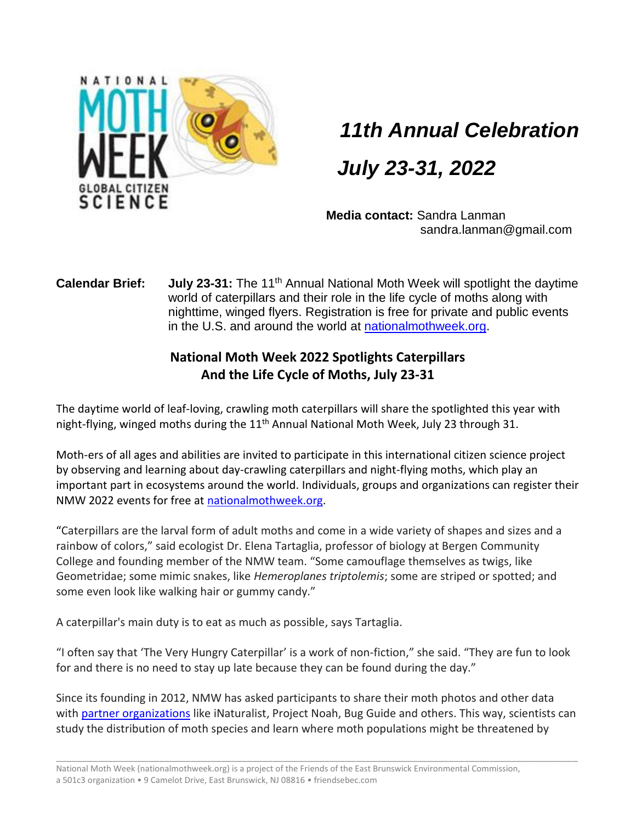

## *11th Annual Celebration*

## *July 23-31, 2022*

**Media contact:** Sandra Lanman sandra.lanman@gmail.com

**Calendar Brief:** July 23-31: The 11<sup>th</sup> Annual National Moth Week will spotlight the daytime world of caterpillars and their role in the life cycle of moths along with nighttime, winged flyers. Registration is free for private and public events in the U.S. and around the world at [nationalmothweek.org.](http://nationalmothweek.org/)

## **National Moth Week 2022 Spotlights Caterpillars And the Life Cycle of Moths, July 23-31**

The daytime world of leaf-loving, crawling moth caterpillars will share the spotlighted this year with night-flying, winged moths during the 11<sup>th</sup> Annual National Moth Week, July 23 through 31.

Moth-ers of all ages and abilities are invited to participate in this international citizen science project by observing and learning about day-crawling caterpillars and night-flying moths, which play an important part in ecosystems around the world. Individuals, groups and organizations can register their NMW 2022 events for free at [nationalmothweek.org.](https://nationalmothweek.org/)

"Caterpillars are the larval form of adult moths and come in a wide variety of shapes and sizes and a rainbow of colors," said ecologist Dr. Elena Tartaglia, professor of biology at Bergen Community College and founding member of the NMW team. "Some camouflage themselves as twigs, like Geometridae; some mimic snakes, like *Hemeroplanes triptolemis*; some are striped or spotted; and some even look like walking hair or gummy candy."

A caterpillar's main duty is to eat as much as possible, says Tartaglia.

"I often say that 'The Very Hungry Caterpillar' is a work of non-fiction," she said. "They are fun to look for and there is no need to stay up late because they can be found during the day."

Since its founding in 2012, NMW has asked participants to share their moth photos and other data with [partner organizations](https://nationalmothweek.org/partners/) like iNaturalist, Project Noah, Bug Guide and others. This way, scientists can study the distribution of moth species and learn where moth populations might be threatened by

\_\_\_\_\_\_\_\_\_\_\_\_\_\_\_\_\_\_\_\_\_\_\_\_\_\_\_\_\_\_\_\_\_\_\_\_\_\_\_\_\_\_\_\_\_\_\_\_\_\_\_\_\_\_\_\_\_\_\_\_\_\_\_\_\_\_\_\_\_\_\_\_\_\_\_\_\_\_\_\_\_\_\_\_\_\_\_\_\_\_\_\_\_\_\_\_\_\_\_\_\_